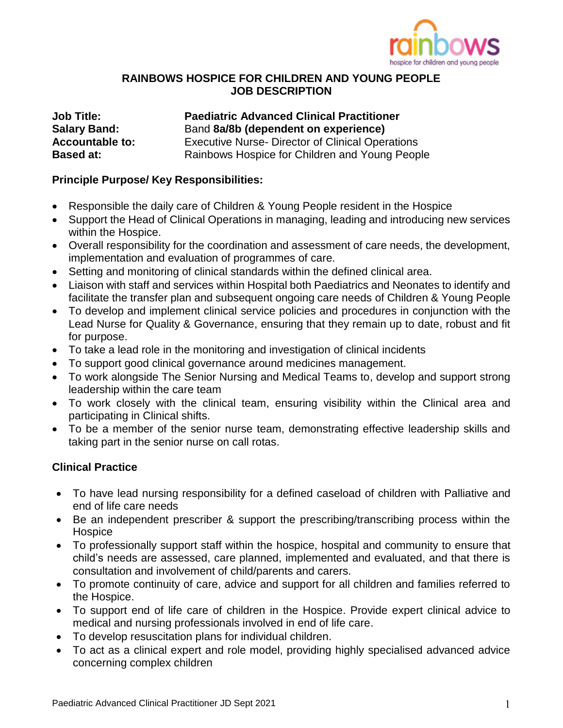

### **RAINBOWS HOSPICE FOR CHILDREN AND YOUNG PEOPLE JOB DESCRIPTION**

**Job Title: Paediatric Advanced Clinical Practitioner Salary Band:** Band **8a/8b (dependent on experience)** Accountable to: Executive Nurse- Director of Clinical Operations **Based at:** Rainbows Hospice for Children and Young People

### **Principle Purpose/ Key Responsibilities:**

- Responsible the daily care of Children & Young People resident in the Hospice
- Support the Head of Clinical Operations in managing, leading and introducing new services within the Hospice.
- Overall responsibility for the coordination and assessment of care needs, the development, implementation and evaluation of programmes of care.
- Setting and monitoring of clinical standards within the defined clinical area.
- Liaison with staff and services within Hospital both Paediatrics and Neonates to identify and facilitate the transfer plan and subsequent ongoing care needs of Children & Young People
- To develop and implement clinical service policies and procedures in conjunction with the Lead Nurse for Quality & Governance, ensuring that they remain up to date, robust and fit for purpose.
- To take a lead role in the monitoring and investigation of clinical incidents
- To support good clinical governance around medicines management.
- To work alongside The Senior Nursing and Medical Teams to, develop and support strong leadership within the care team
- To work closely with the clinical team, ensuring visibility within the Clinical area and participating in Clinical shifts.
- To be a member of the senior nurse team, demonstrating effective leadership skills and taking part in the senior nurse on call rotas.

# **Clinical Practice**

- To have lead nursing responsibility for a defined caseload of children with Palliative and end of life care needs
- Be an independent prescriber & support the prescribing/transcribing process within the **Hospice**
- To professionally support staff within the hospice, hospital and community to ensure that child's needs are assessed, care planned, implemented and evaluated, and that there is consultation and involvement of child/parents and carers.
- To promote continuity of care, advice and support for all children and families referred to the Hospice.
- To support end of life care of children in the Hospice. Provide expert clinical advice to medical and nursing professionals involved in end of life care.
- To develop resuscitation plans for individual children.
- To act as a clinical expert and role model, providing highly specialised advanced advice concerning complex children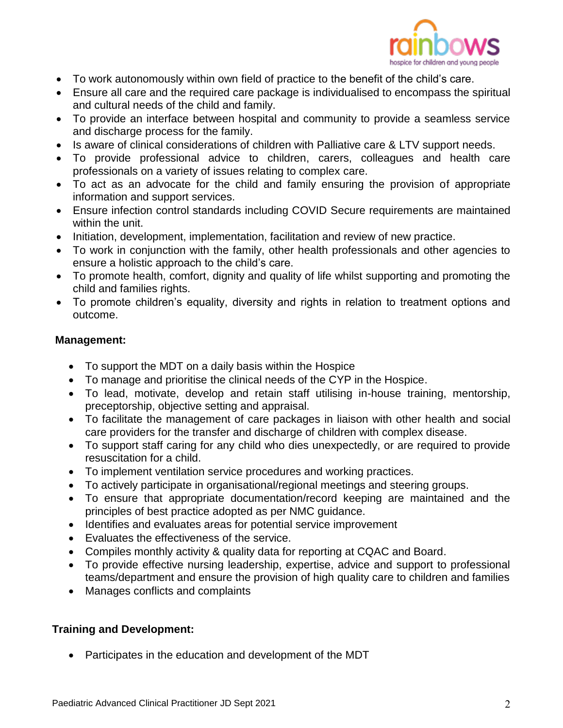

- To work autonomously within own field of practice to the benefit of the child's care.
- Ensure all care and the required care package is individualised to encompass the spiritual and cultural needs of the child and family.
- To provide an interface between hospital and community to provide a seamless service and discharge process for the family.
- Is aware of clinical considerations of children with Palliative care & LTV support needs.
- To provide professional advice to children, carers, colleagues and health care professionals on a variety of issues relating to complex care.
- To act as an advocate for the child and family ensuring the provision of appropriate information and support services.
- Ensure infection control standards including COVID Secure requirements are maintained within the unit.
- Initiation, development, implementation, facilitation and review of new practice.
- To work in conjunction with the family, other health professionals and other agencies to ensure a holistic approach to the child's care.
- To promote health, comfort, dignity and quality of life whilst supporting and promoting the child and families rights.
- To promote children's equality, diversity and rights in relation to treatment options and outcome.

#### **Management:**

- To support the MDT on a daily basis within the Hospice
- To manage and prioritise the clinical needs of the CYP in the Hospice.
- To lead, motivate, develop and retain staff utilising in-house training, mentorship, preceptorship, objective setting and appraisal.
- To facilitate the management of care packages in liaison with other health and social care providers for the transfer and discharge of children with complex disease.
- To support staff caring for any child who dies unexpectedly, or are required to provide resuscitation for a child.
- To implement ventilation service procedures and working practices.
- To actively participate in organisational/regional meetings and steering groups.
- To ensure that appropriate documentation/record keeping are maintained and the principles of best practice adopted as per NMC guidance.
- Identifies and evaluates areas for potential service improvement
- Evaluates the effectiveness of the service.
- Compiles monthly activity & quality data for reporting at CQAC and Board.
- To provide effective nursing leadership, expertise, advice and support to professional teams/department and ensure the provision of high quality care to children and families
- Manages conflicts and complaints

# **Training and Development:**

• Participates in the education and development of the MDT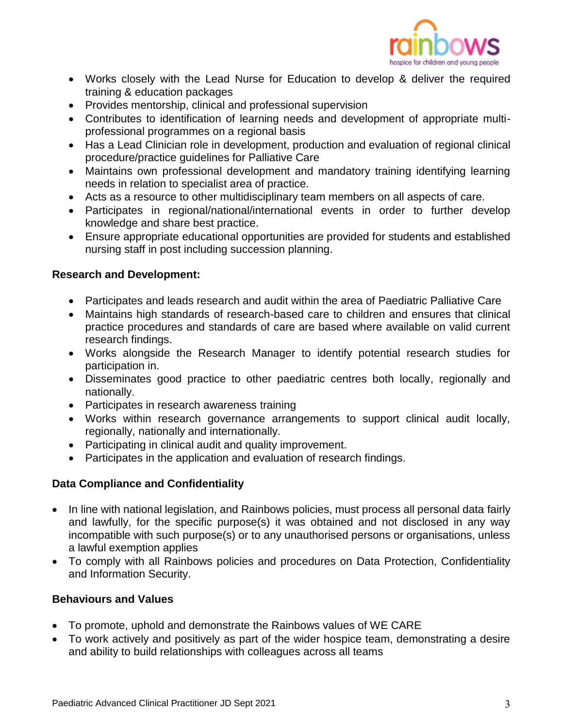

- Works closely with the Lead Nurse for Education to develop & deliver the required training & education packages
- Provides mentorship, clinical and professional supervision
- Contributes to identification of learning needs and development of appropriate multiprofessional programmes on a regional basis
- Has a Lead Clinician role in development, production and evaluation of regional clinical procedure/practice guidelines for Palliative Care
- Maintains own professional development and mandatory training identifying learning needs in relation to specialist area of practice.
- Acts as a resource to other multidisciplinary team members on all aspects of care.
- Participates in regional/national/international events in order to further develop knowledge and share best practice.
- Ensure appropriate educational opportunities are provided for students and established nursing staff in post including succession planning.

### **Research and Development:**

- Participates and leads research and audit within the area of Paediatric Palliative Care
- Maintains high standards of research-based care to children and ensures that clinical practice procedures and standards of care are based where available on valid current research findings.
- Works alongside the Research Manager to identify potential research studies for participation in.
- Disseminates good practice to other paediatric centres both locally, regionally and nationally.
- Participates in research awareness training
- Works within research governance arrangements to support clinical audit locally, regionally, nationally and internationally.
- Participating in clinical audit and quality improvement.
- Participates in the application and evaluation of research findings.

# **Data Compliance and Confidentiality**

- In line with national legislation, and Rainbows policies, must process all personal data fairly and lawfully, for the specific purpose(s) it was obtained and not disclosed in any way incompatible with such purpose(s) or to any unauthorised persons or organisations, unless a lawful exemption applies
- To comply with all Rainbows policies and procedures on Data Protection, Confidentiality and Information Security.

#### **Behaviours and Values**

- To promote, uphold and demonstrate the Rainbows values of WE CARE
- To work actively and positively as part of the wider hospice team, demonstrating a desire and ability to build relationships with colleagues across all teams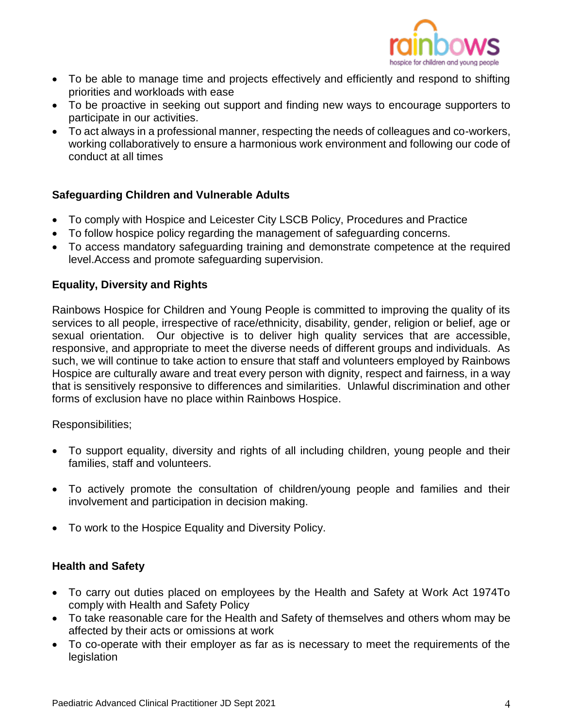

- To be able to manage time and projects effectively and efficiently and respond to shifting priorities and workloads with ease
- To be proactive in seeking out support and finding new ways to encourage supporters to participate in our activities.
- To act always in a professional manner, respecting the needs of colleagues and co-workers, working collaboratively to ensure a harmonious work environment and following our code of conduct at all times

# **Safeguarding Children and Vulnerable Adults**

- To comply with Hospice and Leicester City LSCB Policy, Procedures and Practice
- To follow hospice policy regarding the management of safeguarding concerns.
- To access mandatory safeguarding training and demonstrate competence at the required level.Access and promote safeguarding supervision.

### **Equality, Diversity and Rights**

Rainbows Hospice for Children and Young People is committed to improving the quality of its services to all people, irrespective of race/ethnicity, disability, gender, religion or belief, age or sexual orientation. Our objective is to deliver high quality services that are accessible, responsive, and appropriate to meet the diverse needs of different groups and individuals. As such, we will continue to take action to ensure that staff and volunteers employed by Rainbows Hospice are culturally aware and treat every person with dignity, respect and fairness, in a way that is sensitively responsive to differences and similarities. Unlawful discrimination and other forms of exclusion have no place within Rainbows Hospice.

Responsibilities;

- To support equality, diversity and rights of all including children, young people and their families, staff and volunteers.
- To actively promote the consultation of children/young people and families and their involvement and participation in decision making.
- To work to the Hospice Equality and Diversity Policy.

# **Health and Safety**

- To carry out duties placed on employees by the Health and Safety at Work Act 1974To comply with Health and Safety Policy
- To take reasonable care for the Health and Safety of themselves and others whom may be affected by their acts or omissions at work
- To co-operate with their employer as far as is necessary to meet the requirements of the legislation